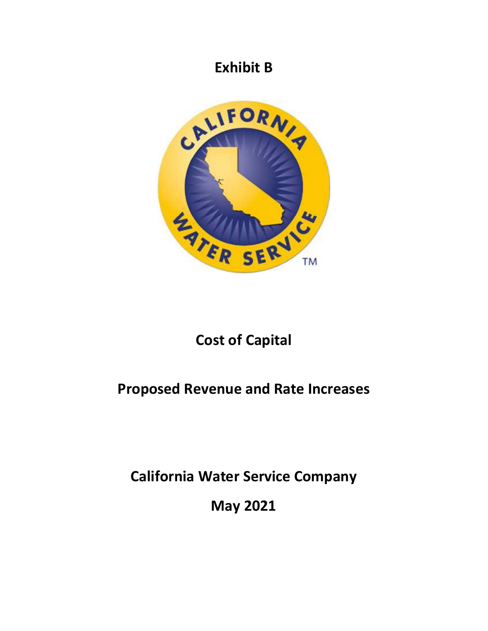## **Exhibit B**



## **Cost of Capital**

## **Proposed Revenue and Rate Increases**

**California Water Service Company** 

**May 2021**